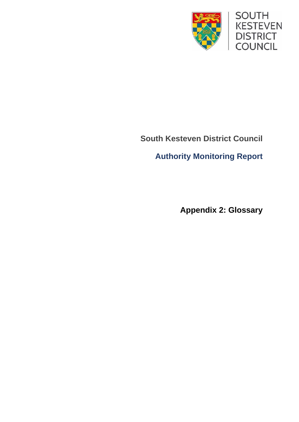

## **South Kesteven District Council**

**Authority Monitoring Report**

**Appendix 2: Glossary**